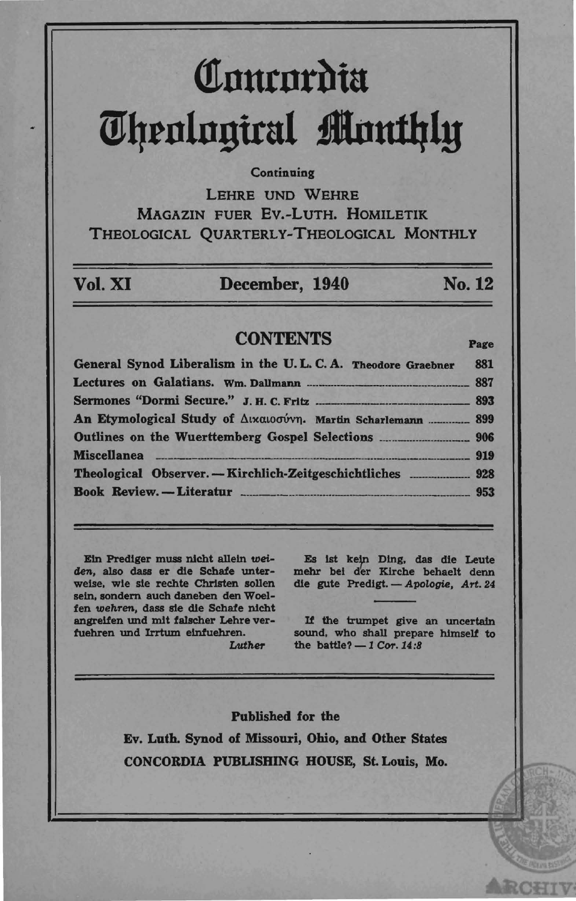# Comrordia **ijJl1rnlnguul ilnutltly**

### **Continuing**

LEHRE UND WEHRE MAGAZIN FUER Ev.-LuTH. HOMILETIK THEOLOGICAL QUARTERLY-THEOLOGICAL MONTHLY

| Vol. XI | December, 1940 | No. 12 |
|---------|----------------|--------|
|         |                |        |

# CONTENTS Page

General Synod Liberalism in the U. L. C. A. Theodore Graebner 881 Lectures on Galatians. Wm. DaUmann .... \_ .... \_\_ \_\_\_\_ . \_\_\_\_ . \_\_\_\_\_\_\_\_\_\_\_\_\_\_\_\_ 887 Sennones "Dormi Secure." J. H. C. FrItz .. \_ \_\_\_\_ . \_\_\_\_\_\_\_\_\_\_\_\_\_\_\_ 893 An Etymological Study of Δικαιοσύνη. Martin Scharlemann ................ 899 Outlines on the Wuerttemberg Gospel Selections \_\_\_\_ .\_\_\_\_\_\_\_\_\_\_ \_\_\_\_\_\_\_\_\_ 906 Miscellanea \_\_\_\_\_\_\_\_\_\_\_ \_\_\_\_\_\_\_\_\_\_ \_\_\_\_ \_\_\_ \_\_\_\_\_\_\_\_\_\_ \_\_\_\_\_\_ \_\_ \_\_\_\_\_\_ \_\_\_\_\_\_\_\_\_\_ 919 Theological Observer. - Kirchlich-Zeitgeschichtliches \_\_\_\_\_ \_\_\_\_\_\_ . \_\_\_\_\_\_ 928 Book Review. - Literatur \_\_\_\_\_\_\_\_\_\_\_\_\_\_\_\_\_\_\_\_\_\_\_\_\_\_\_\_\_\_\_\_\_\_\_\_\_ .\_\_\_\_\_\_\_\_ 953

E1n Prediger muss nlcht alleln *wei*den, also dass er die Schafe unterweise, wie sie rechte Christen sollen seln. sendern auch daneben den Woelfen wehren, dass sie die Schafe nicht angreifen und mit falscher Lehre verfuehren und Irrtum elnfuehren.

Luther

Es ist kein Ding, das die Leute mehr bel der Klrche behaelt denn die gute Predigt. - Apologie, Art. 24

If the trumpet give an uncertain sound. who shall prepare himself to the battle? - 1 *Cor.* 14:8

Published for the Ev. Luth. Synod of Missouri, Ohio, and Other States CONCORDIA PUBUSHING HOUSE, St. Louis, Mo.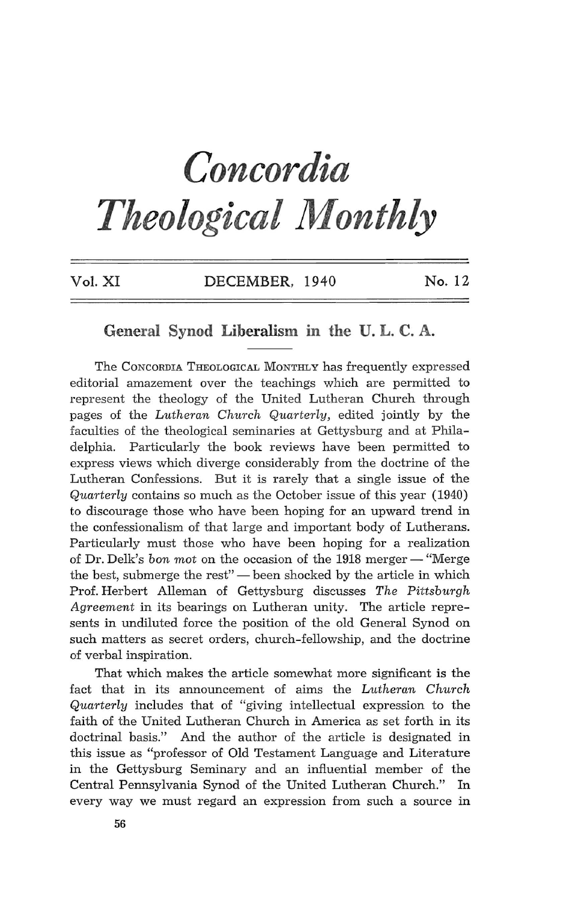# *Concordia Theological Monthly*

| Vol. XI | DECEMBER, 1940 | No. 12 |  |
|---------|----------------|--------|--|
|         |                |        |  |

# General **Synod** Liberalism **in the U. L. C. A.**

The CONCORDIA THEOLOGICAL MONTHLY has frequently expressed editorial amazement over the teachings which are permitted to represent the theology of the United Lutheran Church through pages of the *Lutheran Church Quarterly,* edited jointly by the faculties of the theological seminaries at Gettysburg and at Philadelphia. Particularly the book reviews have been permitted to express views which diverge considerably from the doctrine of the Lutheran Confessions. But it is rarely that a single issue of the *Quarterly* contains so much as the October issue of this year (1940) to discourage those who have been hoping for an upward trend in the confessionalism of that large and important body of Lutherans. Particularly must those who have been hoping for a realization of Dr. Delk's *bon mot* on the occasion of the 1918 merger - "Merge the best, submerge the rest" - been shocked by the article in which Prof. Herbert Alleman of Gettysburg discusses *The Pittsburgh Agreement* in its bearings on Lutheran unity. The article represents in undiluted force the position of the old General Synod on such matters as secret orders, church-fellowship, and the doctrine of verbal inspiration.

That which makes the article somewhat more significant is the fact that in its announcement of aims the *Lutheran Church Quarterly* includes that of "giving intellectual expression to the faith of the United Lutheran Church in America as set forth in its doctrinal basis." And the author of the article is designated in this issue as "professor of Old Testament Language and Literature in the Gettysburg Seminary and an influential member of the Central Pennsylvania Synod of the United Lutheran Church." In every way we must regard an expression from such a source in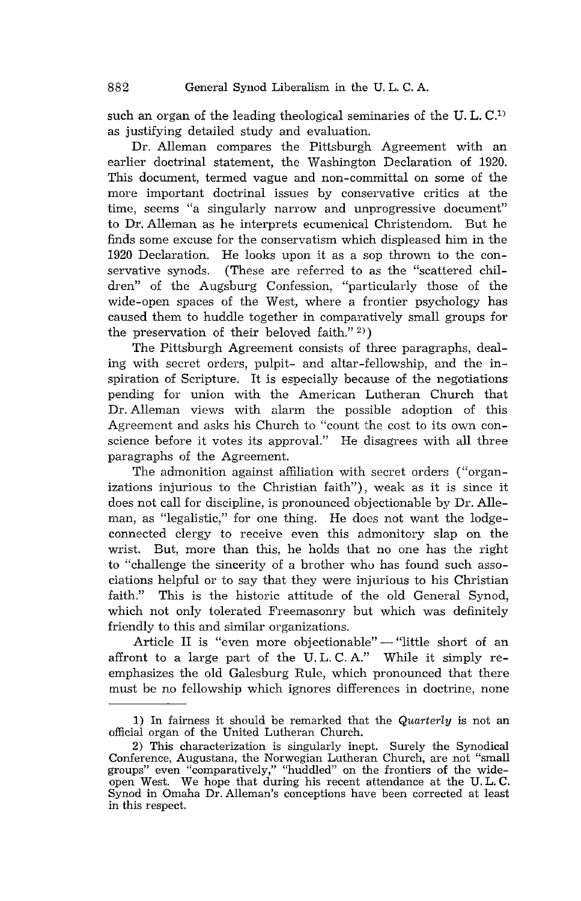such an organ of the leading theological seminaries of the U.L.C.<sup>1)</sup> as justifying detailed study and evaluation.

Dr. Alleman compares the Pittsburgh Agreement with an earlier doctrinal statement, the Washington Declaration of 1920. This document, termed vague and non-committal on some of the more important doctrinal issues by conservative critics at the time, seems "a singularly narrow and unprogressive document" to Dr. Alleman as he interprets ecumenical Christendom. But he finds some excuse for the conservatism which displeased him in the 1920 Declaration. He looks upon it as a sop thrown to the conservative synods. (These are referred to as the "scattered children" of the Augsburg Confession, "particularly those of the wide-open spaces of the West, where a frontier psychology has caused them to huddle together in comparatively small groups for the preservation of their beloved faith." $2)$ )

The Pittsburgh Agreement consists of three paragraphs, dealing with secret orders, pulpit- and altar-fellowship, and the inspiration of Scripture. It is especially because of the negotiations pending for union with the American Lutheran Church that Dr. Alleman views with alarm the possible adoption of this Agreement and asks his Church to "count the cost to its own conscience before it votes its approval." He disagrees with all three paragraphs of the Agreement.

The admonition against affiliation with secret orders ("organizations injurious to the Christian faith"), weak as it is since it does not call for discipline, is pronounced objectionable by Dr. Alleman, as "legalistic," for one thing. He does not want the lodgeconnected clergy to receive even this admonitory slap on the wrist. But, more than this, he holds that no one has the right to "challenge the sincerity of a brother whu has found such associations helpful or to say that they were injurious to his Christian faith." This is the historic attitude of the old General Synod, which not only tolerated Freemasonry but which was definitely friendly to this and similar organizations.

Article II is "even more objectionable" - "little short of an affront to a large part of the U. L. C. A." While it simply reemphasizes the old Galesburg Rule, which pronounced that there must be no fellowship which ignores differences in doctrine, none

<sup>1)</sup> In fairness it should be remarked that the *Quarterly* is not an official organ of the United Lutheran Church.

<sup>2)</sup> This characterization is singularly inept. Surely the Synodical Conference, Augustana, the Norwegian Lutheran Church, are not "small groups" even "comparatively," "huddled" on the frontiers of the wideopen West. We hope that during his recent attendance at the U. L. C. Synod in Omaha Dr. Alleman's conceptions have been corrected at least in this respect.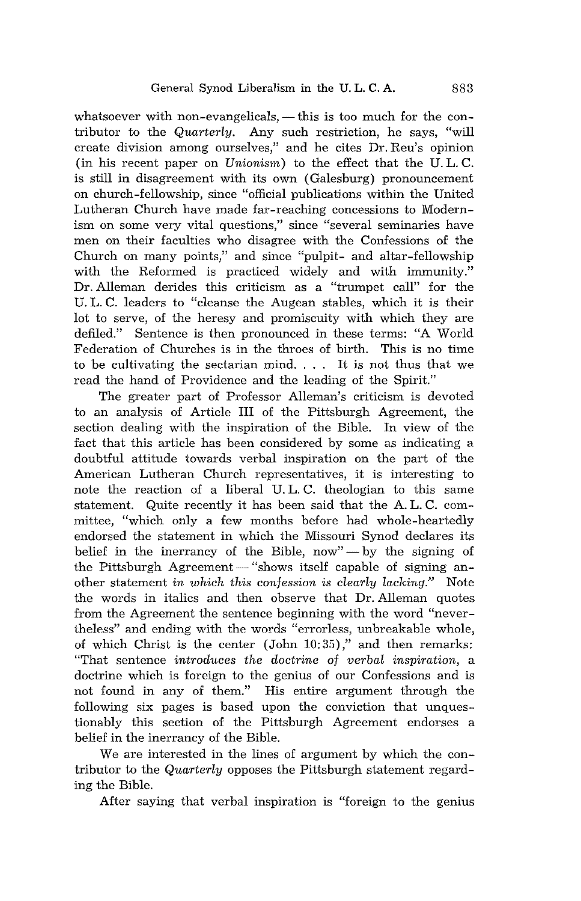whatsoever with non-evangelicals,  $-$  this is too much for the contributor to the *Quarterly.* Any such restriction, he says, "will create division among ourselves," and he cites Dr. Reu's opinion (in his recent paper on *Unionism)* to the effect that the U. L. C. is still in disagreement with its own (Galesburg) pronouncement on church-fellowship, since "official publications within the United Lutheran Church have made far-reaching concessions to Modernism on some very vital questions," since "several seminaries have men on their faculties who disagree with the Confessions of the Church on many points," and since "pulpit- and altar-fellowship with the Reformed is practiced widely and with immunity." Dr. Alleman derides this criticism as a "trumpet call" for the U. L. C. leaders to "cleanse the Augean stables, which it is their lot to serve, of the heresy and promiscuity with which they are defiled." Sentence is then pronounced in these terms: "A World Federation of Churches is in the throes of birth. This is no time to be cultivating the sectarian mind. . .. It is not thus that we read the hand of Providence and the leading of the Spirit."

The greater part of Professor Alleman's criticism is devoted to an analysis of Article **III** of the Pittsburgh Agreement, the section dealing with the inspiration of the Bible. In view of the fact that this article has been considered by some as indicating a doubtful attitude towards verbal inspiration on the part of the American Lutheran Church representatives, it is interesting to note the reaction of a liberal U. L. C. theologian to this same statement. Quite recently it has been said that the A. L. C. committee, "which only a few months before had whole-heartedly endorsed the statement in which the Missouri Synod declares its belief in the inerrancy of the Bible, now" $-$  by the signing of the Pittsburgh Agreement - "shows itself capable of signing another statement *in which this confession* is *clearly lacking."* Note the words in italics and then observe that Dr. Alleman quotes from the Agreement the sentence beginning with the word "nevertheless" and ending with the words "errorless, unbreakable whole, of which Christ is the center  $(John 10:35)$ ," and then remarks: "That sentence *introduces the doctrine of verbal inspiration,* a doctrine which is foreign to the genius of our Confessions and is not found in any of them." His entire argument through the following six pages is based upon the conviction that unquestionably this section of the Pittsburgh Agreement endorses a belief in the inerrancy of the Bible.

We are interested in the lines of argument by which the contributor to the *Quarterly* opposes the Pittsburgh statement regarding the Bible.

After saying that verbal inspiration is "foreign to the genius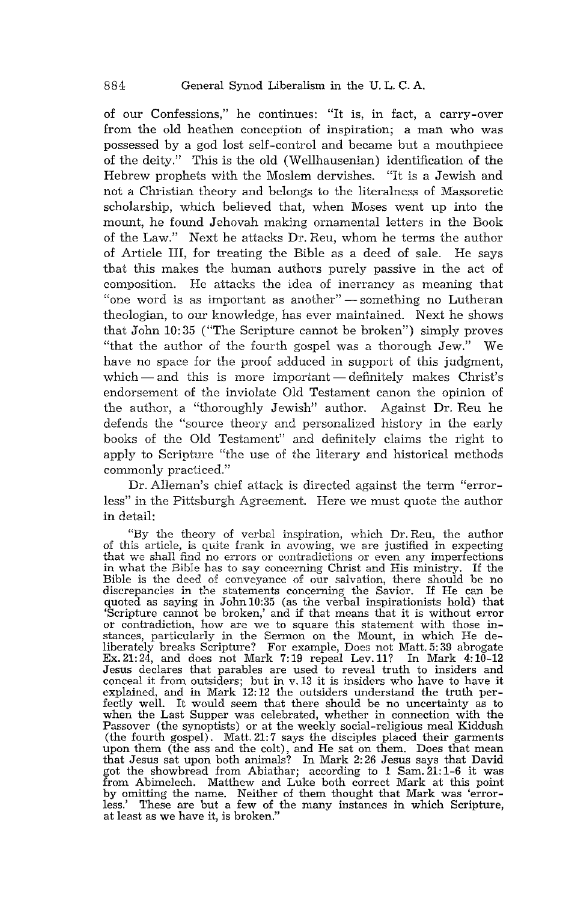of our Confessions," he continues: "It is, in fact, a carry-over from the old heathen conception of inspiration; a man who was possessed by a god lost self-control and became but a mouthpiece of the deity." This is the old (Wellhausenian) identification of the Hebrew prophets with the Moslem dervishes. "It is a Jewish and not a Christian theory and belongs to the literalness of Massoretic scholarship, which believed that, when Moses went up into the mount, he found Jehovah making ornamental letters in the Book of the Law." Next he attacks Dr. Reu, whom he terms the author of Article III, for treating the Bible as a deed of sale. He says that this makes the human authors purely passive in the act of composition. He attacks the idea of inerrancy as meaning that "one word is as important as another" - something no Lutheran theologian, to our knowledge, has ever maintained. Next he shows that John 10: 35 ("The Scripture cannot be broken") simply proves "that the author of the fourth gospel was a thorough Jew." We have no space for the proof adduced in support of this judgment, which  $-$  and this is more important  $-$  definitely makes Christ's endorsement of the inviolate Old Testament canon the opinion of the author, a "thoroughly Jewish" author. Against Dr. Reu he defends the "source theory and personalized history in the early books of the Old Testament" and definitely claims the right to apply to Scripture "the use of the literary and historical methods commonly practiced."

Dr. Alleman's chief attack is directed against the term "errorless" in the Pittsburgh Agreement. Here we must quote the author in detail:

"By the theory of verbal inspiration, which Dr. Reu, the author of this article, is quite frank in avowing, we are justified in expecting that we shall find no errors or contradictions or even any imperfections in what the Bible has to say concerning Christ and His ministry. If the Bible is the deed of conveyance of our salvation, there should be no discrepancies in the statements concerning the Savior. If He can be quoted as saying in John 10:35 (as the verbal inspirationists hold) that 'Scripture cannot be broken,' and if that means that it is without error or contradiction, how are we to square this statement with those instances, liberately breaks Scripture? For example, Does not Matt. 5: 39 abrogate Ex. 21: 24, and does not Mark 7: 19 repeal Lev. 11? In Mark  $4:10-12$ Jesus declares that parables are used to reveal truth to insiders and conceal it from outsiders; but in v.13 it is insiders who have to have it explained, and in Mark 12: 12 the outsiders understand the truth per-Eachly well. It would seem that there should be no uncertainty as to<br>when the Last Supper was celebrated, whether in connection with the<br>Passover (the synoptists) or at the weekly social-religious meal Kiddush<br>(the fourth upon them (the ass and the colt), and He sat on them. Does that mean that Jesus sat upon both animals? In Mark 2: 26 Jesus says that David got the showbread from Abiathar; according to 1 Sam. 21: 1-6 it was from Abimelech. Matthew and Luke both correct Mark at this point by omitting the name. Neither of them thought that Mark was 'errorless.' These are but a few of the many instances in which Scripture, at least as we have it, is broken."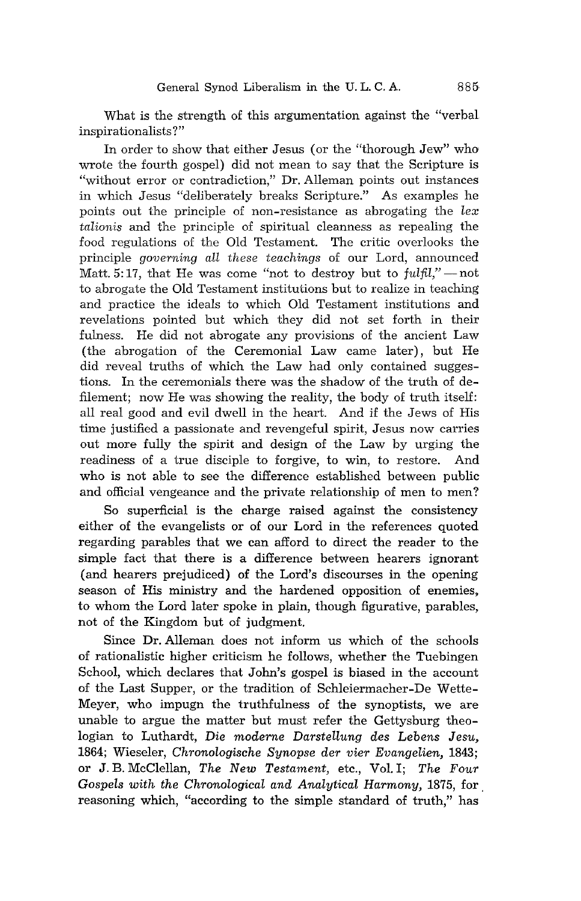What is the strength of this argumentation against the "verbal inspirationalists ?"

In order to show that either Jesus (or the "thorough Jew" who wrote the fourth gospel) did not mean to say that the Scripture is "without error or contradiction," Dr. Alleman points out instances in which Jesus "deliberately breaks Scripture." As examples he points out the principle of non-resistance as abrogating the *lex talionis* and the principle of spiritual cleanness as repealing the food regulations of the Old Testament. The critic overlooks the principle *governing aU these teachings* of our Lord, announced Matt. 5:17, that He was come "not to destroy but to *fulfil*," - not to abrogate the Old Testament institutions but to realize in teaching and practice the ideals to which Old Testament institutions and revelations pointed but which they did not set forth in their fulness. He did not abrogate any provisions of the ancient Law (the abrogation of the Ceremonial Law came later), but He did reveal truths of which the Law had only contained suggestions. In the ceremonials there was the shadow of the truth of defilement; now He was showing the reality, the body of truth itself: all real good and evil dwell in the heart. And if the Jews of His time justified a passionate and revengeful spirit, Jesus now carries out more fully the spirit and design of the Law by urging the readiness of a true disciple to forgive, to win, to restore. And who is not able to see the difference established between public and official vengeance and the private relationship of men to men?

So superficial is the charge raised against the consistency either of the evangelists or of our Lord in the references quoted regarding parables that we can afford to direct the reader to the simple fact that there is a difference between hearers ignorant (and hearers prejudiced) of the Lord's discourses in the opening season of His ministry and the hardened opposition of enemies, to whom the Lord later spoke in plain, though figurative, parables, not of the Kingdom but of judgment.

Since Dr. Alleman does not inform us which of the schools of rationalistic higher criticism he follows, whether the Tuebingen School, which declares that John's gospel is biased in the account of the Last Supper, or the tradition of Schleiermacher-De Wette-Meyer, who impugn the truthfulness of the synoptists, we are unable to argue the matter but must refer the Gettysburg theologian to Luthardt, Die moderne Darstellung des Lebens Jesu, 1864; Wieseler, *Chronologische Synopse der vier Evangelien, 1843;*  or J. B. McClellan, *The New Testament,* etc., Vol. I; *The Four Gospels with the Chronological and Analytical Harmony,* 1875, for. reasoning which, "according to the simple standard of truth," has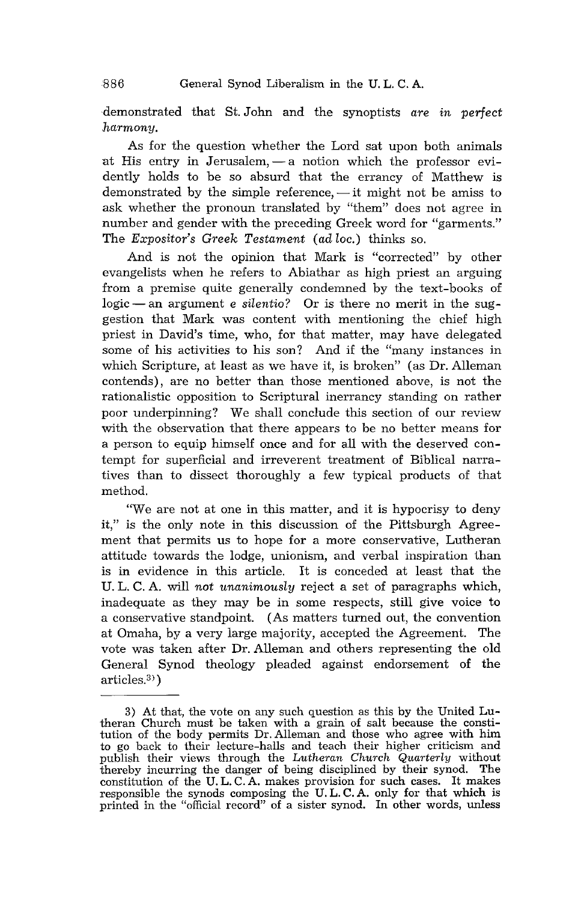demonstrated that St. John and the synoptists *are in perfect harmony.* 

As for the question whether the Lord sat upon both animals at His entry in Jerusalem,  $-$  a notion which the professor evidently holds to be so absurd that the errancy of Matthew is demonstrated by the simple reference,  $-$  it might not be amiss to ask whether the pronoun translated by "them" does not agree in number and gender with the preceding Greek word for "garments." The *Expositor's Greek Testament (ad lac.)* thinks so.

And is not the opinion that Mark is "corrected" by other evangelists when he refers to Abiathar as high priest an arguing from a premise quite generally condemned by the text-books of logic – an argument *e silentio*? Or is there no merit in the suggestion that Mark was content with mentioning the chief high priest in David's time, who, for that matter, may have delegated some of his activities to his son? And if the "many instances in which Scripture, at least as we have it, is broken" (as Dr. Alleman contends), are no better than those mentioned above, is not the rationalistic opposition to Scriptural inerrancy standing on rather poor underpinning? We shall conclude this section of our review with the observation that there appears to be no better means for a person to equip himself once and for all with the deserved contempt for superficial and irreverent treatment of Biblical narratives than to dissect thoroughly a few typical products of that method.

"We are not at one in this matter, and it is hypocrisy to deny it," is the only note in this discussion of the Pittsburgh Agreement that permits us to hope for a more conservative, Lutheran attitude towards the lodge, unionism, and verbal inspiration than is in evidence in this article. It is conceded at least that the U. L. C. A. will *not unanimously* reject a set of paragraphs which, inadequate as they may be in some respects, still give voice to a conservative standpoint. (As matters turned out, the convention at Omaha, by a very large majority, accepted the Agreement. The vote was taken after Dr. Alleman and others representing the old General Synod theology pleaded against endorsement of the  $articles<sup>3)</sup>$ 

<sup>3)</sup> At that, the vote on any such question as this by the United Lutheran Church must be taken with a grain of salt because the constitution of the body permits Dr. Alleman and those who agree with him to go back to their lecture-halls and teach their higher criticism and publish their views through the *Lutheran Church Quarterly* without thereby incurring the danger of being disciplined by their synod. The constitution of the U. L. C. A. makes provision for such cases. It makes responsible the synods composing the U. L. C. A. only for that which is printed in the "official record" of a sister synod. In other words, unless